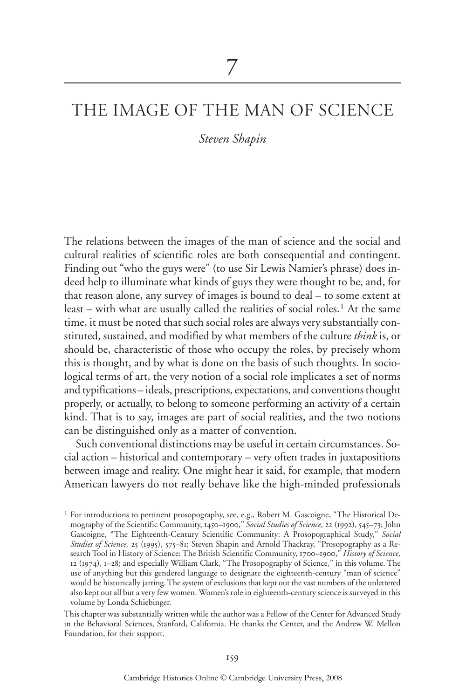# THE IMAGE OF THE MAN OF SCIENCE

*Steven Shapin*

The relations between the images of the man of science and the social and cultural realities of scientific roles are both consequential and contingent. Finding out "who the guys were" (to use Sir Lewis Namier's phrase) does indeed help to illuminate what kinds of guys they were thought to be, and, for that reason alone, any survey of images is bound to deal – to some extent at least – with what are usually called the realities of social roles.<sup>1</sup> At the same time, it must be noted that such social roles are always very substantially constituted, sustained, and modified by what members of the culture *think* is, or should be, characteristic of those who occupy the roles, by precisely whom this is thought, and by what is done on the basis of such thoughts. In sociological terms of art, the very notion of a social role implicates a set of norms and typifications – ideals, prescriptions, expectations, and conventions thought properly, or actually, to belong to someone performing an activity of a certain kind. That is to say, images are part of social realities, and the two notions can be distinguished only as a matter of convention.

Such conventional distinctions may be useful in certain circumstances. Social action – historical and contemporary – very often trades in juxtapositions between image and reality. One might hear it said, for example, that modern American lawyers do not really behave like the high-minded professionals

This chapter was substantially written while the author was a Fellow of the Center for Advanced Study in the Behavioral Sciences, Stanford, California. He thanks the Center, and the Andrew W. Mellon Foundation, for their support.

<sup>1</sup> For introductions to pertinent prosopography, see, e.g., Robert M. Gascoigne, "The Historical Demography of the Scientific Community, 1450-1900," Social Studies of Science, 22 (1992), 545-73; John Gascoigne, "The Eighteenth-Century Scientific Community: A Prosopographical Study," *Social Studies of Science*, 25 (1995), 575-81; Steven Shapin and Arnold Thackray, "Prosopography as a Research Tool in History of Science: The British Scientific Community, 1700-1900," History of Science, 12 (1974), 1-28; and especially William Clark, "The Prosopography of Science," in this volume. The use of anything but this gendered language to designate the eighteenth-century "man of science" would be historically jarring. The system of exclusions that kept out the vast numbers of the unlettered also kept out all but a very few women. Women's role in eighteenth-century science is surveyed in this volume by Londa Schiebinger.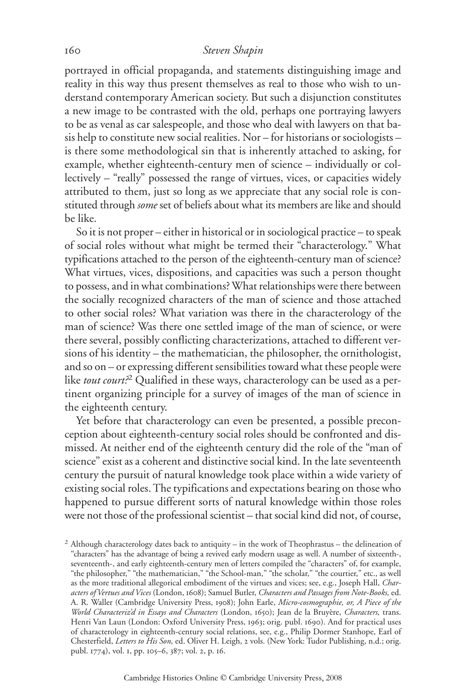portrayed in official propaganda, and statements distinguishing image and reality in this way thus present themselves as real to those who wish to understand contemporary American society. But such a disjunction constitutes a new image to be contrasted with the old, perhaps one portraying lawyers to be as venal as car salespeople, and those who deal with lawyers on that basis help to constitute new social realities. Nor – for historians or sociologists – is there some methodological sin that is inherently attached to asking, for example, whether eighteenth-century men of science – individually or collectively – "really" possessed the range of virtues, vices, or capacities widely attributed to them, just so long as we appreciate that any social role is constituted through *some* set of beliefs about what its members are like and should be like.

So it is not proper – either in historical or in sociological practice – to speak of social roles without what might be termed their "characterology." What typifications attached to the person of the eighteenth-century man of science? What virtues, vices, dispositions, and capacities was such a person thought to possess, and in what combinations? What relationships were there between the socially recognized characters of the man of science and those attached to other social roles? What variation was there in the characterology of the man of science? Was there one settled image of the man of science, or were there several, possibly conflicting characterizations, attached to different versions of his identity – the mathematician, the philosopher, the ornithologist, and so on – or expressing different sensibilities toward what these people were like *tout court?*<sup>2</sup> Qualified in these ways, characterology can be used as a pertinent organizing principle for a survey of images of the man of science in the eighteenth century.

Yet before that characterology can even be presented, a possible preconception about eighteenth-century social roles should be confronted and dismissed. At neither end of the eighteenth century did the role of the "man of science" exist as a coherent and distinctive social kind. In the late seventeenth century the pursuit of natural knowledge took place within a wide variety of existing social roles. The typifications and expectations bearing on those who happened to pursue different sorts of natural knowledge within those roles were not those of the professional scientist – that social kind did not, of course,

 $2$  Although characterology dates back to antiquity – in the work of Theophrastus – the delineation of "characters" has the advantage of being a revived early modern usage as well. A number of sixteenth-, seventeenth-, and early eighteenth-century men of letters compiled the "characters" of, for example, "the philosopher," "the mathematician," "the School-man," "the scholar," "the courtier," etc., as well as the more traditional allegorical embodiment of the virtues and vices; see, e.g., Joseph Hall, *Characters of Vertues and Vices* (London, ); Samuel Butler, *Characters and Passages from Note-Books,* ed. A. R. Waller (Cambridge University Press, 1908); John Earle, *Micro-cosmographie, or, A Piece of the World Characteriz'd in Essays and Characters* (London, ); Jean de la Bruyère, *Characters,* trans. Henri Van Laun (London: Oxford University Press, 1963; orig. publ. 1690). And for practical uses of characterology in eighteenth-century social relations, see, e.g., Philip Dormer Stanhope, Earl of Chesterfield, *Letters to His Son*, ed. Oliver H. Leigh, 2 vols. (New York: Tudor Publishing, n.d.; orig. publ. 1774), vol. 1, pp. 105-6, 387; vol. 2, p. 16.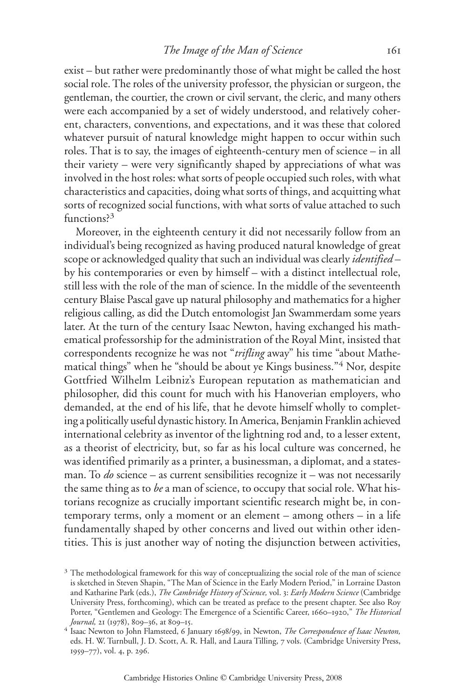exist – but rather were predominantly those of what might be called the host social role. The roles of the university professor, the physician or surgeon, the gentleman, the courtier, the crown or civil servant, the cleric, and many others were each accompanied by a set of widely understood, and relatively coherent, characters, conventions, and expectations, and it was these that colored whatever pursuit of natural knowledge might happen to occur within such roles. That is to say, the images of eighteenth-century men of science – in all their variety – were very significantly shaped by appreciations of what was involved in the host roles: what sorts of people occupied such roles, with what characteristics and capacities, doing what sorts of things, and acquitting what sorts of recognized social functions, with what sorts of value attached to such functions?<sup>3</sup>

Moreover, in the eighteenth century it did not necessarily follow from an individual's being recognized as having produced natural knowledge of great scope or acknowledged quality that such an individual was clearly *identified* – by his contemporaries or even by himself – with a distinct intellectual role, still less with the role of the man of science. In the middle of the seventeenth century Blaise Pascal gave up natural philosophy and mathematics for a higher religious calling, as did the Dutch entomologist Jan Swammerdam some years later. At the turn of the century Isaac Newton, having exchanged his mathematical professorship for the administration of the Royal Mint, insisted that correspondents recognize he was not "*trifling* away" his time "about Mathematical things" when he "should be about ye Kings business."<sup>4</sup> Nor, despite Gottfried Wilhelm Leibniz's European reputation as mathematician and philosopher, did this count for much with his Hanoverian employers, who demanded, at the end of his life, that he devote himself wholly to completing a politically useful dynastic history. In America, Benjamin Franklin achieved international celebrity as inventor of the lightning rod and, to a lesser extent, as a theorist of electricity, but, so far as his local culture was concerned, he was identified primarily as a printer, a businessman, a diplomat, and a statesman. To *do* science – as current sensibilities recognize it – was not necessarily the same thing as to *be* a man of science, to occupy that social role. What historians recognize as crucially important scientific research might be, in contemporary terms, only a moment or an element – among others – in a life fundamentally shaped by other concerns and lived out within other identities. This is just another way of noting the disjunction between activities,

<sup>&</sup>lt;sup>3</sup> The methodological framework for this way of conceptualizing the social role of the man of science is sketched in Steven Shapin, "The Man of Science in the Early Modern Period," in Lorraine Daston and Katharine Park (eds.), *The Cambridge History of Science*, vol. 3: *Early Modern Science* (Cambridge University Press, forthcoming), which can be treated as preface to the present chapter. See also Roy Porter, "Gentlemen and Geology: The Emergence of a Scientific Career, 1660–1920," The Historical *Journal,* (), –, at –. <sup>4</sup> Isaac Newton to John Flamsteed, January /, in Newton, *The Correspondence of Isaac Newton,*

eds. H. W. Turnbull, J. D. Scott, A. R. Hall, and Laura Tilling, 7 vols. (Cambridge University Press, 1959-77), vol. 4, p. 296.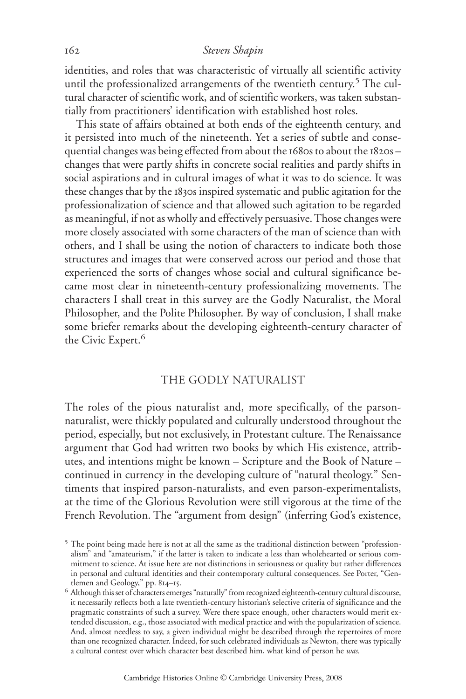identities, and roles that was characteristic of virtually all scientific activity until the professionalized arrangements of the twentieth century.<sup>5</sup> The cultural character of scientific work, and of scientific workers, was taken substantially from practitioners' identification with established host roles.

This state of affairs obtained at both ends of the eighteenth century, and it persisted into much of the nineteenth. Yet a series of subtle and consequential changes was being effected from about the 1680s to about the 1820s changes that were partly shifts in concrete social realities and partly shifts in social aspirations and in cultural images of what it was to do science. It was these changes that by the 1830s inspired systematic and public agitation for the professionalization of science and that allowed such agitation to be regarded as meaningful, if not as wholly and effectively persuasive. Those changes were more closely associated with some characters of the man of science than with others, and I shall be using the notion of characters to indicate both those structures and images that were conserved across our period and those that experienced the sorts of changes whose social and cultural significance became most clear in nineteenth-century professionalizing movements. The characters I shall treat in this survey are the Godly Naturalist, the Moral Philosopher, and the Polite Philosopher. By way of conclusion, I shall make some briefer remarks about the developing eighteenth-century character of the Civic Expert.<sup>6</sup>

## THE GODLY NATURALIST

The roles of the pious naturalist and, more specifically, of the parsonnaturalist, were thickly populated and culturally understood throughout the period, especially, but not exclusively, in Protestant culture. The Renaissance argument that God had written two books by which His existence, attributes, and intentions might be known – Scripture and the Book of Nature – continued in currency in the developing culture of "natural theology." Sentiments that inspired parson-naturalists, and even parson-experimentalists, at the time of the Glorious Revolution were still vigorous at the time of the French Revolution. The "argument from design" (inferring God's existence,

<sup>5</sup> The point being made here is not at all the same as the traditional distinction between "professionalism" and "amateurism," if the latter is taken to indicate a less than wholehearted or serious commitment to science. At issue here are not distinctions in seriousness or quality but rather differences in personal and cultural identities and their contemporary cultural consequences. See Porter, "Gen-

 $6$  Although this set of characters emerges "naturally" from recognized eighteenth-century cultural discourse, it necessarily reflects both a late twentieth-century historian's selective criteria of significance and the pragmatic constraints of such a survey. Were there space enough, other characters would merit extended discussion, e.g., those associated with medical practice and with the popularization of science. And, almost needless to say, a given individual might be described through the repertoires of more than one recognized character. Indeed, for such celebrated individuals as Newton, there was typically a cultural contest over which character best described him, what kind of person he *was.*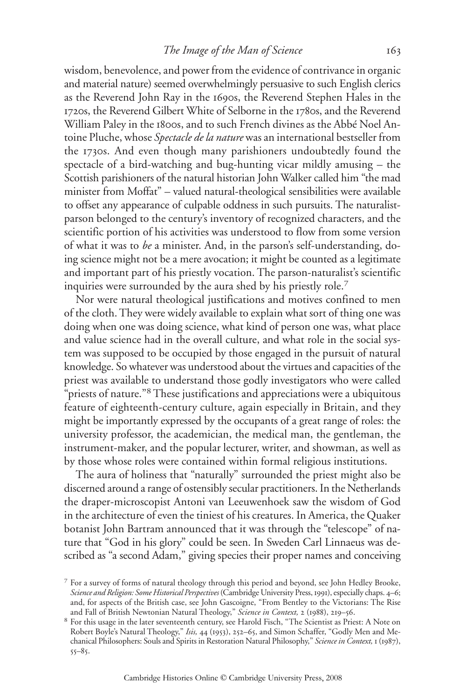wisdom, benevolence, and power from the evidence of contrivance in organic and material nature) seemed overwhelmingly persuasive to such English clerics as the Reverend John Ray in the 1690s, the Reverend Stephen Hales in the 1720s, the Reverend Gilbert White of Selborne in the 1780s, and the Reverend William Paley in the 1800s, and to such French divines as the Abbé Noel Antoine Pluche, whose *Spectacle de la nature* was an international bestseller from the 1730s. And even though many parishioners undoubtedly found the spectacle of a bird-watching and bug-hunting vicar mildly amusing – the Scottish parishioners of the natural historian John Walker called him "the mad minister from Moffat" – valued natural-theological sensibilities were available to offset any appearance of culpable oddness in such pursuits. The naturalistparson belonged to the century's inventory of recognized characters, and the scientific portion of his activities was understood to flow from some version of what it was to *be* a minister. And, in the parson's self-understanding, doing science might not be a mere avocation; it might be counted as a legitimate and important part of his priestly vocation. The parson-naturalist's scientific inquiries were surrounded by the aura shed by his priestly role.<sup>7</sup>

Nor were natural theological justifications and motives confined to men of the cloth. They were widely available to explain what sort of thing one was doing when one was doing science, what kind of person one was, what place and value science had in the overall culture, and what role in the social system was supposed to be occupied by those engaged in the pursuit of natural knowledge. So whatever was understood about the virtues and capacities of the priest was available to understand those godly investigators who were called "priests of nature."<sup>8</sup> These justifications and appreciations were a ubiquitous feature of eighteenth-century culture, again especially in Britain, and they might be importantly expressed by the occupants of a great range of roles: the university professor, the academician, the medical man, the gentleman, the instrument-maker, and the popular lecturer, writer, and showman, as well as by those whose roles were contained within formal religious institutions.

The aura of holiness that "naturally" surrounded the priest might also be discerned around a range of ostensibly secular practitioners. In the Netherlands the draper-microscopist Antoni van Leeuwenhoek saw the wisdom of God in the architecture of even the tiniest of his creatures. In America, the Quaker botanist John Bartram announced that it was through the "telescope" of nature that "God in his glory" could be seen. In Sweden Carl Linnaeus was described as "a second Adam," giving species their proper names and conceiving

<sup>7</sup> For a survey of forms of natural theology through this period and beyond, see John Hedley Brooke, Science and Religion: Some Historical Perspectives (Cambridge University Press, 1991), especially chaps. 4-6; and, for aspects of the British case, see John Gascoigne, "From Bentley to the Victorians: The Rise and Fall of British Newtonian Natural Theology," Science in Context, 2 (1988), 219–56.

<sup>&</sup>lt;sup>8</sup> For this usage in the later seventeenth century, see Harold Fisch, "The Scientist as Priest: A Note on Robert Boyle's Natural Theology," *Isis, 44 (1953), 252*-65, and Simon Schaffer, "Godly Men and Mechanical Philosophers: Souls and Spirits in Restoration Natural Philosophy," Science in Context, 1 (1987),  $55 - 85.$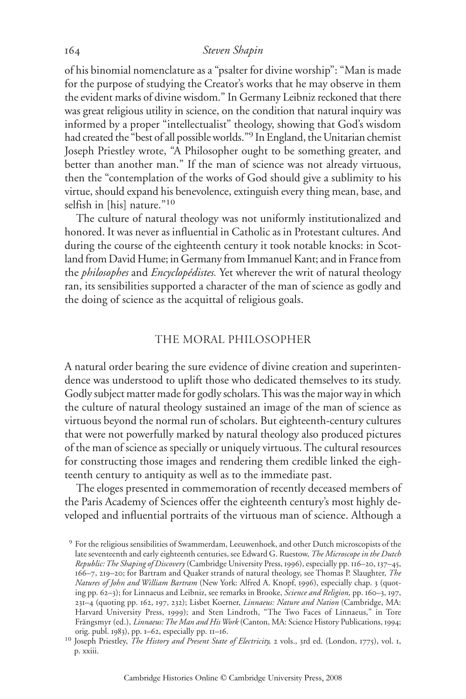of his binomial nomenclature as a "psalter for divine worship": "Man is made for the purpose of studying the Creator's works that he may observe in them the evident marks of divine wisdom." In Germany Leibniz reckoned that there was great religious utility in science, on the condition that natural inquiry was informed by a proper "intellectualist" theology, showing that God's wisdom had created the "best of all possible worlds."9 In England, the Unitarian chemist Joseph Priestley wrote, "A Philosopher ought to be something greater, and better than another man." If the man of science was not already virtuous, then the "contemplation of the works of God should give a sublimity to his virtue, should expand his benevolence, extinguish every thing mean, base, and selfish in [his] nature."<sup>10</sup>

The culture of natural theology was not uniformly institutionalized and honored. It was never as influential in Catholic as in Protestant cultures. And during the course of the eighteenth century it took notable knocks: in Scotland from David Hume; in Germany from Immanuel Kant; and in France from the *philosophes* and *Encyclopédistes.* Yet wherever the writ of natural theology ran, its sensibilities supported a character of the man of science as godly and the doing of science as the acquittal of religious goals.

### THE MORAL PHILOSOPHER

A natural order bearing the sure evidence of divine creation and superintendence was understood to uplift those who dedicated themselves to its study. Godly subject matter made for godly scholars. This was the major way in which the culture of natural theology sustained an image of the man of science as virtuous beyond the normal run of scholars. But eighteenth-century cultures that were not powerfully marked by natural theology also produced pictures of the man of science as specially or uniquely virtuous. The cultural resources for constructing those images and rendering them credible linked the eighteenth century to antiquity as well as to the immediate past.

The eloges presented in commemoration of recently deceased members of the Paris Academy of Sciences offer the eighteenth century's most highly developed and influential portraits of the virtuous man of science. Although a

<sup>9</sup> For the religious sensibilities of Swammerdam, Leeuwenhoek, and other Dutch microscopists of the late seventeenth and early eighteenth centuries, see Edward G. Ruestow, *The Microscope in the Dutch Republic: The Shaping of Discovery* (Cambridge University Press, 1996), especially pp. 116–20, 137–45, –, –; for Bartram and Quaker strands of natural theology, see Thomas P. Slaughter, *The Natures of John and William Bartram* (New York: Alfred A. Knopf, 1996), especially chap. 3 (quoting pp. 62-3); for Linnaeus and Leibniz, see remarks in Brooke, *Science and Religion*, pp. 160-3, 197, – (quoting pp. , , ); Lisbet Koerner, *Linnaeus: Nature and Nation* (Cambridge, MA: Harvard University Press, 1999); and Sten Lindroth, "The Two Faces of Linnaeus," in Tore Frängsmyr (ed.), *Linnaeus: The Man and His Work* (Canton, MA: Science History Publications, ;

orig. publ. 1983), pp. 1–62, especially pp. 11–16.<br><sup>10</sup> Joseph Priestley, *The History and Present State of Electricity*, 2 vols., 3rd ed. (London, 1775), vol. 1, p. xxiii.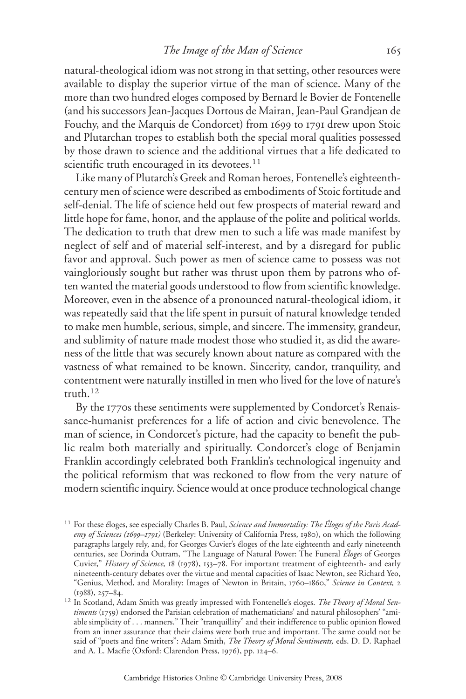natural-theological idiom was not strong in that setting, other resources were available to display the superior virtue of the man of science. Many of the more than two hundred eloges composed by Bernard le Bovier de Fontenelle (and his successors Jean-Jacques Dortous de Mairan, Jean-Paul Grandjean de Fouchy, and the Marquis de Condorcet) from 1699 to 1791 drew upon Stoic and Plutarchan tropes to establish both the special moral qualities possessed by those drawn to science and the additional virtues that a life dedicated to scientific truth encouraged in its devotees.<sup>11</sup>

Like many of Plutarch's Greek and Roman heroes, Fontenelle's eighteenthcentury men of science were described as embodiments of Stoic fortitude and self-denial. The life of science held out few prospects of material reward and little hope for fame, honor, and the applause of the polite and political worlds. The dedication to truth that drew men to such a life was made manifest by neglect of self and of material self-interest, and by a disregard for public favor and approval. Such power as men of science came to possess was not vaingloriously sought but rather was thrust upon them by patrons who often wanted the material goods understood to flow from scientific knowledge. Moreover, even in the absence of a pronounced natural-theological idiom, it was repeatedly said that the life spent in pursuit of natural knowledge tended to make men humble, serious, simple, and sincere. The immensity, grandeur, and sublimity of nature made modest those who studied it, as did the awareness of the little that was securely known about nature as compared with the vastness of what remained to be known. Sincerity, candor, tranquility, and contentment were naturally instilled in men who lived for the love of nature's truth.<sup>12</sup>

By the 1770s these sentiments were supplemented by Condorcet's Renaissance-humanist preferences for a life of action and civic benevolence. The man of science, in Condorcet's picture, had the capacity to benefit the public realm both materially and spiritually. Condorcet's eloge of Benjamin Franklin accordingly celebrated both Franklin's technological ingenuity and the political reformism that was reckoned to flow from the very nature of modern scientific inquiry. Science would at once produce technological change

<sup>&</sup>lt;sup>11</sup> For these éloges, see especially Charles B. Paul, Science and Immortality: The Éloges of the Paris Acad*emy of Sciences (1699–1791)* (Berkeley: University of California Press, 1980), on which the following paragraphs largely rely, and, for Georges Cuvier's éloges of the late eighteenth and early nineteenth centuries, see Dorinda Outram, "The Language of Natural Power: The Funeral *Éloges* of Georges Cuvier," History of Science, 18 (1978), 153-78. For important treatment of eighteenth- and early nineteenth-century debates over the virtue and mental capacities of Isaac Newton, see Richard Yeo, "Genius, Method, and Morality: Images of Newton in Britain, 1760-1860," Science in Context, 2 (), –. <sup>12</sup> In Scotland, Adam Smith was greatly impressed with Fontenelle's eloges. *The Theory of Moral Sen-*

*timents* (1759) endorsed the Parisian celebration of mathematicians' and natural philosophers' "amiable simplicity of . . . manners." Their "tranquillity" and their indifference to public opinion flowed from an inner assurance that their claims were both true and important. The same could not be said of "poets and fine writers": Adam Smith, *The Theory of Moral Sentiments,* eds. D. D. Raphael and A. L. Macfie (Oxford: Clarendon Press, 1976), pp. 124-6.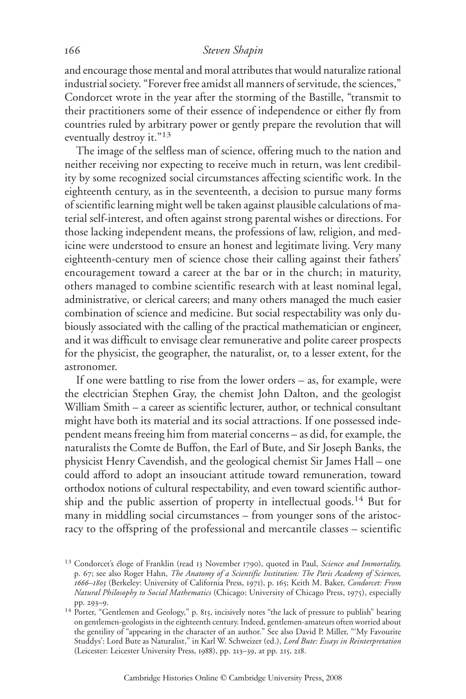and encourage those mental and moral attributes that would naturalize rational industrial society. "Forever free amidst all manners of servitude, the sciences," Condorcet wrote in the year after the storming of the Bastille, "transmit to their practitioners some of their essence of independence or either fly from countries ruled by arbitrary power or gently prepare the revolution that will eventually destroy it."<sup>13</sup>

The image of the selfless man of science, offering much to the nation and neither receiving nor expecting to receive much in return, was lent credibility by some recognized social circumstances affecting scientific work. In the eighteenth century, as in the seventeenth, a decision to pursue many forms of scientific learning might well be taken against plausible calculations of material self-interest, and often against strong parental wishes or directions. For those lacking independent means, the professions of law, religion, and medicine were understood to ensure an honest and legitimate living. Very many eighteenth-century men of science chose their calling against their fathers' encouragement toward a career at the bar or in the church; in maturity, others managed to combine scientific research with at least nominal legal, administrative, or clerical careers; and many others managed the much easier combination of science and medicine. But social respectability was only dubiously associated with the calling of the practical mathematician or engineer, and it was difficult to envisage clear remunerative and polite career prospects for the physicist, the geographer, the naturalist, or, to a lesser extent, for the astronomer.

If one were battling to rise from the lower orders – as, for example, were the electrician Stephen Gray, the chemist John Dalton, and the geologist William Smith – a career as scientific lecturer, author, or technical consultant might have both its material and its social attractions. If one possessed independent means freeing him from material concerns – as did, for example, the naturalists the Comte de Buffon, the Earl of Bute, and Sir Joseph Banks, the physicist Henry Cavendish, and the geological chemist Sir James Hall – one could afford to adopt an insouciant attitude toward remuneration, toward orthodox notions of cultural respectability, and even toward scientific authorship and the public assertion of property in intellectual goods.<sup>14</sup> But for many in middling social circumstances – from younger sons of the aristocracy to the offspring of the professional and mercantile classes – scientific

<sup>&</sup>lt;sup>13</sup> Condorcet's éloge of Franklin (read 13 November 1790), quoted in Paul, *Science and Immortality*, p. 67; see also Roger Hahn, *The Anatomy of a Scientific Institution: The Paris Academy of Sciences*, *–* (Berkeley: University of California Press, ), p. ; Keith M. Baker, *Condorcet: From Natural Philosophy to Social Mathematics* (Chicago: University of Chicago Press, 1975), especially

pp. 293–9.<br><sup>14</sup> Porter, "Gentlemen and Geology," p. 815, incisively notes "the lack of pressure to publish" bearing on gentlemen-geologists in the eighteenth century. Indeed, gentlemen-amateurs often worried about the gentility of "appearing in the character of an author." See also David P. Miller, "'My Favourite Studdys': Lord Bute as Naturalist," in Karl W. Schweizer (ed.), *Lord Bute: Essays in Reinterpretation* (Leicester: Leicester University Press, 1988), pp. 213-39, at pp. 215, 218.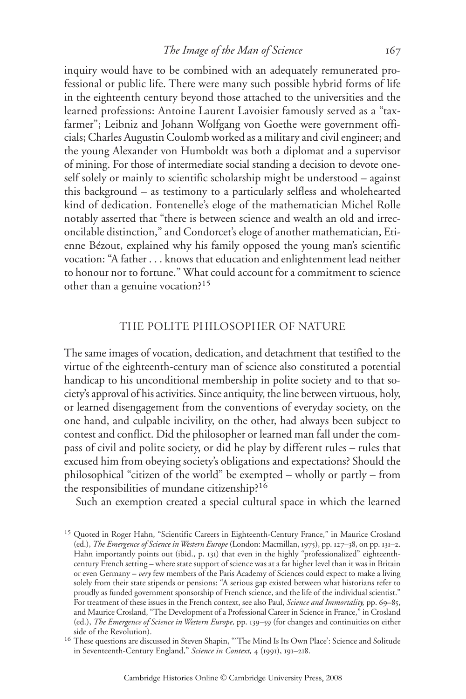inquiry would have to be combined with an adequately remunerated professional or public life. There were many such possible hybrid forms of life in the eighteenth century beyond those attached to the universities and the learned professions: Antoine Laurent Lavoisier famously served as a "taxfarmer"; Leibniz and Johann Wolfgang von Goethe were government officials; Charles Augustin Coulomb worked as a military and civil engineer; and the young Alexander von Humboldt was both a diplomat and a supervisor of mining. For those of intermediate social standing a decision to devote oneself solely or mainly to scientific scholarship might be understood – against this background – as testimony to a particularly selfless and wholehearted kind of dedication. Fontenelle's eloge of the mathematician Michel Rolle notably asserted that "there is between science and wealth an old and irreconcilable distinction," and Condorcet's eloge of another mathematician, Etienne Bézout, explained why his family opposed the young man's scientific vocation: "A father . . . knows that education and enlightenment lead neither to honour nor to fortune." What could account for a commitment to science other than a genuine vocation?15

#### THE POLITE PHILOSOPHER OF NATURE

The same images of vocation, dedication, and detachment that testified to the virtue of the eighteenth-century man of science also constituted a potential handicap to his unconditional membership in polite society and to that society's approval of his activities. Since antiquity, the line between virtuous, holy, or learned disengagement from the conventions of everyday society, on the one hand, and culpable incivility, on the other, had always been subject to contest and conflict. Did the philosopher or learned man fall under the compass of civil and polite society, or did he play by different rules – rules that excused him from obeying society's obligations and expectations? Should the philosophical "citizen of the world" be exempted – wholly or partly – from the responsibilities of mundane citizenship?<sup>16</sup>

Such an exemption created a special cultural space in which the learned

<sup>&</sup>lt;sup>15</sup> Quoted in Roger Hahn, "Scientific Careers in Eighteenth-Century France," in Maurice Crosland (ed.), *The Emergence of Science in Western Europe* (London: Macmillan, 1975), pp. 127-38, on pp. 131-2. Hahn importantly points out (ibid., p. 131) that even in the highly "professionalized" eighteenthcentury French setting – where state support of science was at a far higher level than it was in Britain or even Germany – *very* few members of the Paris Academy of Sciences could expect to make a living solely from their state stipends or pensions: "A serious gap existed between what historians refer to proudly as funded government sponsorship of French science, and the life of the individual scientist." For treatment of these issues in the French context, see also Paul, *Science and Immortality*, pp. 69-85, and Maurice Crosland, "The Development of a Professional Career in Science in France," in Crosland (ed.), *The Emergence of Science in Western Europe*, pp. 139–59 (for changes and continuities on either

side of the Revolution). 16 These questions are discussed in Steven Shapin, "'The Mind Is Its Own Place': Science and Solitude in Seventeenth-Century England," Science in Context, 4 (1991), 191-218.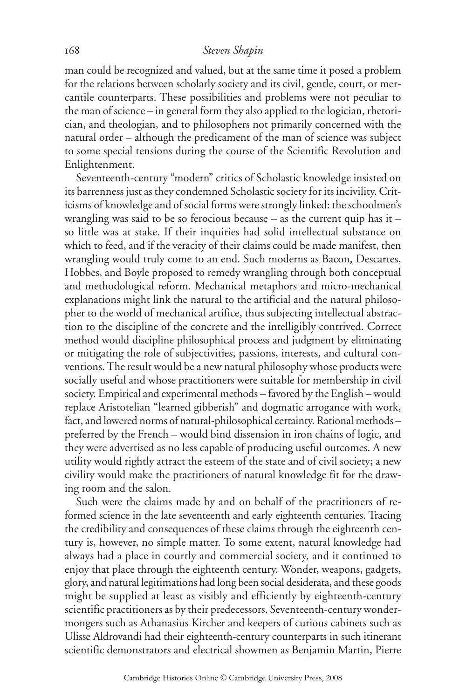man could be recognized and valued, but at the same time it posed a problem for the relations between scholarly society and its civil, gentle, court, or mercantile counterparts. These possibilities and problems were not peculiar to the man of science – in general form they also applied to the logician, rhetorician, and theologian, and to philosophers not primarily concerned with the natural order – although the predicament of the man of science was subject to some special tensions during the course of the Scientific Revolution and Enlightenment.

Seventeenth-century "modern" critics of Scholastic knowledge insisted on its barrenness just as they condemned Scholastic society for its incivility. Criticisms of knowledge and of social forms were strongly linked: the schoolmen's wrangling was said to be so ferocious because – as the current quip has it – so little was at stake. If their inquiries had solid intellectual substance on which to feed, and if the veracity of their claims could be made manifest, then wrangling would truly come to an end. Such moderns as Bacon, Descartes, Hobbes, and Boyle proposed to remedy wrangling through both conceptual and methodological reform. Mechanical metaphors and micro-mechanical explanations might link the natural to the artificial and the natural philosopher to the world of mechanical artifice, thus subjecting intellectual abstraction to the discipline of the concrete and the intelligibly contrived. Correct method would discipline philosophical process and judgment by eliminating or mitigating the role of subjectivities, passions, interests, and cultural conventions. The result would be a new natural philosophy whose products were socially useful and whose practitioners were suitable for membership in civil society. Empirical and experimental methods – favored by the English – would replace Aristotelian "learned gibberish" and dogmatic arrogance with work, fact, and lowered norms of natural-philosophical certainty. Rational methods – preferred by the French – would bind dissension in iron chains of logic, and they were advertised as no less capable of producing useful outcomes. A new utility would rightly attract the esteem of the state and of civil society; a new civility would make the practitioners of natural knowledge fit for the drawing room and the salon.

Such were the claims made by and on behalf of the practitioners of reformed science in the late seventeenth and early eighteenth centuries. Tracing the credibility and consequences of these claims through the eighteenth century is, however, no simple matter. To some extent, natural knowledge had always had a place in courtly and commercial society, and it continued to enjoy that place through the eighteenth century. Wonder, weapons, gadgets, glory, and natural legitimations had long been social desiderata, and these goods might be supplied at least as visibly and efficiently by eighteenth-century scientific practitioners as by their predecessors. Seventeenth-century wondermongers such as Athanasius Kircher and keepers of curious cabinets such as Ulisse Aldrovandi had their eighteenth-century counterparts in such itinerant scientific demonstrators and electrical showmen as Benjamin Martin, Pierre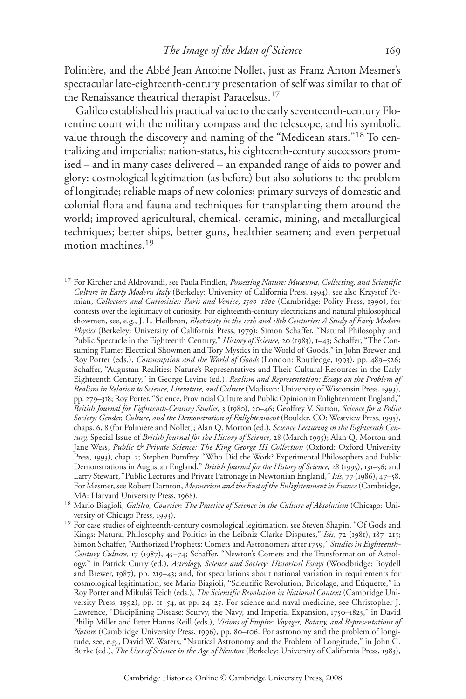Polinière, and the Abbé Jean Antoine Nollet, just as Franz Anton Mesmer's spectacular late-eighteenth-century presentation of self was similar to that of the Renaissance theatrical therapist Paracelsus.17

Galileo established his practical value to the early seventeenth-century Florentine court with the military compass and the telescope, and his symbolic value through the discovery and naming of the "Medicean stars."<sup>18</sup> To centralizing and imperialist nation-states, his eighteenth-century successors promised – and in many cases delivered – an expanded range of aids to power and glory: cosmological legitimation (as before) but also solutions to the problem of longitude; reliable maps of new colonies; primary surveys of domestic and colonial flora and fauna and techniques for transplanting them around the world; improved agricultural, chemical, ceramic, mining, and metallurgical techniques; better ships, better guns, healthier seamen; and even perpetual motion machines.<sup>19</sup>

<sup>17</sup> For Kircher and Aldrovandi, see Paula Findlen, *Possessing Nature: Museums, Collecting, and Scientific* Culture in Early Modern Italy (Berkeley: University of California Press, 1994); see also Krzystof Pomian, *Collectors and Curiosities: Paris and Venice*, 1500-1800 (Cambridge: Polity Press, 1990), for contests over the legitimacy of curiosity. For eighteenth-century electricians and natural philosophical showmen, see, e.g., J. L. Heilbron, *Electricity in the th and th Centuries: A Study of Early Modern* Physics (Berkeley: University of California Press, 1979); Simon Schaffer, "Natural Philosophy and Public Spectacle in the Eighteenth Century," *History of Science*, 20 (1983), 1-43; Schaffer, "The Consuming Flame: Electrical Showmen and Tory Mystics in the World of Goods," in John Brewer and Roy Porter (eds.), *Consumption and the World of Goods* (London: Routledge, 1993), pp. 489-526; Schaffer, "Augustan Realities: Nature's Representatives and Their Cultural Resources in the Early Eighteenth Century," in George Levine (ed.), *Realism and Representation: Essays on the Problem of Realism in Relation to Science, Literature, and Culture* (Madison: University of Wisconsin Press, 1993), pp. 279-318; Roy Porter, "Science, Provincial Culture and Public Opinion in Enlightenment England," *British Journal for Eighteenth-Century Studies,* (), –; Geoffrey V. Sutton, *Science for a Polite* Society: Gender, Culture, and the Demonstration of Enlightenment (Boulder, CO: Westview Press, 1995), chaps. 6, 8 (for Polinière and Nollet); Alan Q. Morton (ed.), *Science Lecturing in the Eighteenth Cen*tury, Special Issue of *British Journal for the History of Science*, 28 (March 1995); Alan Q. Morton and Jane Wess, *Public & Private Science: The King George III Collection* (Oxford: Oxford University Press, 1993), chap. 2; Stephen Pumfrey, "Who Did the Work? Experimental Philosophers and Public Demonstrations in Augustan England," *British Journal for the History of Science,* 28 (1995), 131–56; and Larry Stewart, "Public Lectures and Private Patronage in Newtonian England," *Isis*, 77 (1986), 47–58. For Mesmer, see Robert Darnton, *Mesmerism and the End of the Enlightenment in France*(Cambridge, MA: Harvard University Press, 1968).<br><sup>18</sup> Mario Biagioli, *Galileo, Courtier: The Practice of Science in the Culture of Absolutism* (Chicago: Uni-

versity of Chicago Press, 1993).<br><sup>19</sup> For case studies of eighteenth-century cosmological legitimation, see Steven Shapin, "Of Gods and

Kings: Natural Philosophy and Politics in the Leibniz-Clarke Disputes," *Isis*, 72 (1981), 187-215; Simon Schaffer, "Authorized Prophets: Comets and Astronomers after 1759," Studies in Eighteenth-*Century Culture,* 17 (1987), 45-74; Schaffer, "Newton's Comets and the Transformation of Astrology," in Patrick Curry (ed.), *Astrology, Science and Society: Historical Essays* (Woodbridge: Boydell and Brewer, 1987), pp. 219-43; and, for speculations about national variation in requirements for cosmological legitimation, see Mario Biagioli, "Scientific Revolution, Bricolage, and Etiquette," in Roy Porter and Mikuláš Teich (eds.), *The Scientific Revolution in National Context* (Cambridge University Press, 1992), pp. 11-54, at pp. 24-25. For science and naval medicine, see Christopher J. Lawrence, "Disciplining Disease: Scurvy, the Navy, and Imperial Expansion, 1750–1825," in David Philip Miller and Peter Hanns Reill (eds.), *Visions of Empire: Voyages, Botany, and Representations of Nature* (Cambridge University Press, 1996), pp. 80-106. For astronomy and the problem of longitude, see, e.g., David W. Waters, "Nautical Astronomy and the Problem of Longitude," in John G. Burke (ed.), *The Uses of Science in the Age of Newton* (Berkeley: University of California Press, 1983),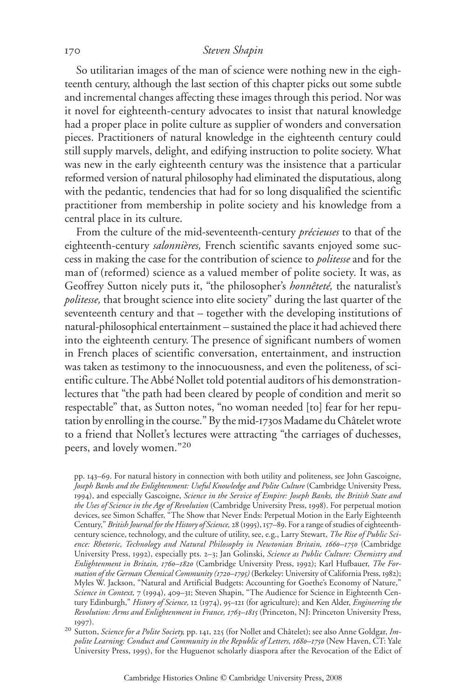So utilitarian images of the man of science were nothing new in the eighteenth century, although the last section of this chapter picks out some subtle and incremental changes affecting these images through this period. Nor was it novel for eighteenth-century advocates to insist that natural knowledge had a proper place in polite culture as supplier of wonders and conversation pieces. Practitioners of natural knowledge in the eighteenth century could still supply marvels, delight, and edifying instruction to polite society. What was new in the early eighteenth century was the insistence that a particular reformed version of natural philosophy had eliminated the disputatious, along with the pedantic, tendencies that had for so long disqualified the scientific practitioner from membership in polite society and his knowledge from a central place in its culture.

From the culture of the mid-seventeenth-century *précieuses* to that of the eighteenth-century *salonnières,* French scientific savants enjoyed some success in making the case for the contribution of science to *politesse* and for the man of (reformed) science as a valued member of polite society. It was, as Geoffrey Sutton nicely puts it, "the philosopher's *honnêteté,* the naturalist's *politesse,* that brought science into elite society" during the last quarter of the seventeenth century and that – together with the developing institutions of natural-philosophical entertainment – sustained the place it had achieved there into the eighteenth century. The presence of significant numbers of women in French places of scientific conversation, entertainment, and instruction was taken as testimony to the innocuousness, and even the politeness, of scientific culture. The Abbé Nollet told potential auditors of his demonstrationlectures that "the path had been cleared by people of condition and merit so respectable" that, as Sutton notes, "no woman needed [to] fear for her reputation by enrolling in the course." By the mid-1730s Madame du Châtelet wrote to a friend that Nollet's lectures were attracting "the carriages of duchesses, peers, and lovely women."<sup>20</sup>

pp. 143-69. For natural history in connection with both utility and politeness, see John Gascoigne, *Joseph Banks and the Enlightenment: Useful Knowledge and Polite Culture* (Cambridge University Press, ), and especially Gascoigne, *Science in the Service of Empire: Joseph Banks, the British State and* the Uses of Science in the Age of Revolution (Cambridge University Press, 1998). For perpetual motion devices, see Simon Schaffer, "The Show that Never Ends: Perpetual Motion in the Early Eighteenth Century," *British Journal for the History of Science*, 28 (1995), 157-89. For a range of studies of eighteenthcentury science, technology, and the culture of utility, see, e.g., Larry Stewart, *The Rise of Public Science: Rhetoric, Technology and Natural Philosophy in Newtonian Britain, 1660–1750* (Cambridge University Press, 1992), especially pts. 2-3; Jan Golinski, *Science as Public Culture: Chemistry and* Enlightenment in Britain, 1760-1820 (Cambridge University Press, 1992); Karl Hufbauer, The For*mation of the German Chemical Community (1720–1795)* (Berkeley: University of California Press, 1982); Myles W. Jackson, "Natural and Artificial Budgets: Accounting for Goethe's Economy of Nature," *Science in Context,* 7 (1994), 409-31; Steven Shapin, "The Audience for Science in Eighteenth Century Edinburgh," *History of Science*, 12 (1974), 95-121 (for agriculture); and Ken Alder, *Engineering the Revolution: Arms and Enlightenment in France, –* (Princeton, NJ: Princeton University Press,

1997).<br><sup>20</sup> Sutton, *Science for a Polite Society*, pp. 141, 225 (for Nollet and Châtelet); see also Anne Goldgar, *Impolite Learning: Conduct and Community in the Republic of Letters, 1680–1750* (New Haven, CT: Yale University Press, 1995), for the Huguenot scholarly diaspora after the Revocation of the Edict of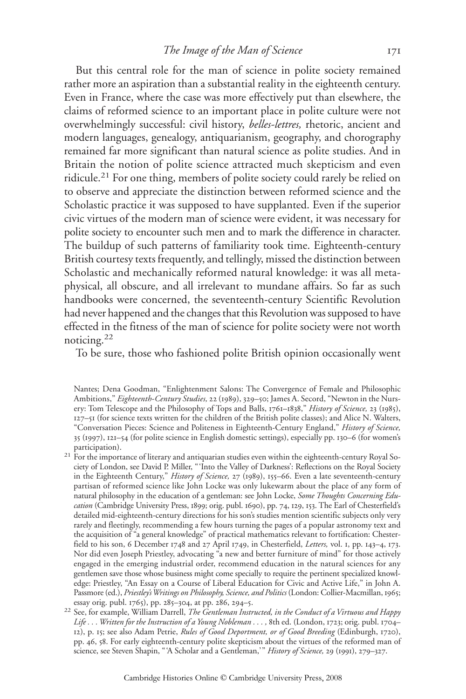But this central role for the man of science in polite society remained rather more an aspiration than a substantial reality in the eighteenth century. Even in France, where the case was more effectively put than elsewhere, the claims of reformed science to an important place in polite culture were not overwhelmingly successful: civil history, *belles-lettres,* rhetoric, ancient and modern languages, genealogy, antiquarianism, geography, and chorography remained far more significant than natural science as polite studies. And in Britain the notion of polite science attracted much skepticism and even ridicule.<sup>21</sup> For one thing, members of polite society could rarely be relied on to observe and appreciate the distinction between reformed science and the Scholastic practice it was supposed to have supplanted. Even if the superior civic virtues of the modern man of science were evident, it was necessary for polite society to encounter such men and to mark the difference in character. The buildup of such patterns of familiarity took time. Eighteenth-century British courtesy texts frequently, and tellingly, missed the distinction between Scholastic and mechanically reformed natural knowledge: it was all metaphysical, all obscure, and all irrelevant to mundane affairs. So far as such handbooks were concerned, the seventeenth-century Scientific Revolution had never happened and the changes that this Revolution was supposed to have effected in the fitness of the man of science for polite society were not worth noticing.22

To be sure, those who fashioned polite British opinion occasionally went

Nantes; Dena Goodman, "Enlightenment Salons: The Convergence of Female and Philosophic Ambitions," *Eighteenth-Century Studies*, 22 (1989), 329-50; James A. Secord, "Newton in the Nursery: Tom Telescope and the Philosophy of Tops and Balls, 1761-1838," History of Science, 23 (1985), 127-51 (for science texts written for the children of the British polite classes); and Alice N. Walters, "Conversation Pieces: Science and Politeness in Eighteenth-Century England," *History of Science,* (), – (for polite science in English domestic settings), especially pp. – (for women's

- participation).  $21$  For the importance of literary and antiquarian studies even within the eighteenth-century Royal Society of London, see David P. Miller, "'Into the Valley of Darkness': Reflections on the Royal Society in the Eighteenth Century," *History of Science*, 27 (1989), 155-66. Even a late seventeenth-century partisan of reformed science like John Locke was only lukewarm about the place of any form of natural philosophy in the education of a gentleman: see John Locke, *Some Thoughts Concerning Education* (Cambridge University Press, 1899; orig. publ. 1690), pp. 74, 129, 153. The Earl of Chesterfield's detailed mid-eighteenth-century directions for his son's studies mention scientific subjects only very rarely and fleetingly, recommending a few hours turning the pages of a popular astronomy text and the acquisition of "a general knowledge" of practical mathematics relevant to fortification: Chesterfield to his son, 6 December 1748 and 27 April 1749, in Chesterfield, Letters, vol. 1, pp. 143-4, 173. Nor did even Joseph Priestley, advocating "a new and better furniture of mind" for those actively engaged in the emerging industrial order, recommend education in the natural sciences for any gentlemen save those whose business might come specially to require the pertinent specialized knowledge: Priestley, "An Essay on a Course of Liberal Education for Civic and Active Life," in John A. Passmore (ed.), Priestley's Writings on Philosophy, Science, and Politics (London: Collier-Macmillan, 1965; essay orig. publ. 1765), pp. 285-304, at pp. 286, 294-5.<br><sup>22</sup> See, for example, William Darrell, *The Gentleman Instructed, in the Conduct of a Virtuous and Happy*
- Life . . . Written for the Instruction of a Young Nobleman . . . , 8th ed. (London, 1723; orig. publ. 1704-12), p. 15; see also Adam Petrie, *Rules of Good Deportment, or of Good Breeding* (Edinburgh, 1720), pp. 46, 58. For early eighteenth-century polite skepticism about the virtues of the reformed man of science, see Steven Shapin, "A Scholar and a Gentleman," *History of Science*, 29 (1991), 279-327.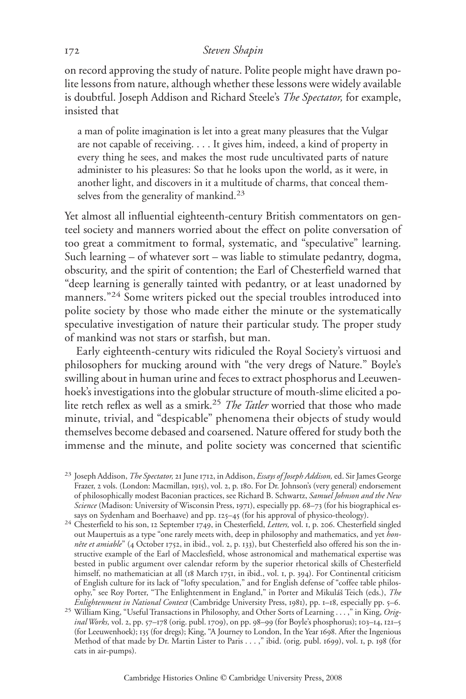on record approving the study of nature. Polite people might have drawn polite lessons from nature, although whether these lessons were widely available is doubtful. Joseph Addison and Richard Steele's *The Spectator,* for example, insisted that

a man of polite imagination is let into a great many pleasures that the Vulgar are not capable of receiving. . . . It gives him, indeed, a kind of property in every thing he sees, and makes the most rude uncultivated parts of nature administer to his pleasures: So that he looks upon the world, as it were, in another light, and discovers in it a multitude of charms, that conceal themselves from the generality of mankind.<sup>23</sup>

Yet almost all influential eighteenth-century British commentators on genteel society and manners worried about the effect on polite conversation of too great a commitment to formal, systematic, and "speculative" learning. Such learning – of whatever sort – was liable to stimulate pedantry, dogma, obscurity, and the spirit of contention; the Earl of Chesterfield warned that "deep learning is generally tainted with pedantry, or at least unadorned by manners."<sup>24</sup> Some writers picked out the special troubles introduced into polite society by those who made either the minute or the systematically speculative investigation of nature their particular study. The proper study of mankind was not stars or starfish, but man.

Early eighteenth-century wits ridiculed the Royal Society's virtuosi and philosophers for mucking around with "the very dregs of Nature." Boyle's swilling about in human urine and feces to extract phosphorus and Leeuwenhoek's investigations into the globular structure of mouth-slime elicited a polite retch reflex as well as a smirk.25 *The Tatler* worried that those who made minute, trivial, and "despicable" phenomena their objects of study would themselves become debased and coarsened. Nature offered for study both the immense and the minute, and polite society was concerned that scientific

<sup>&</sup>lt;sup>23</sup> Joseph Addison, *The Spectator*, 21 June 1712, in Addison, *Essays of Joseph Addison*, ed. Sir James George Frazer, 2 vols. (London: Macmillan, 1915), vol. 2, p. 180. For Dr. Johnson's (very general) endorsement of philosophically modest Baconian practices, see Richard B. Schwartz, *Samuel Johnson and the New Science* (Madison: University of Wisconsin Press, 1971), especially pp. 68-73 (for his biographical es-

says on Sydenham and Boerhaave) and pp. 125–45 (for his approval of physico-theology).<br><sup>24</sup> Chesterfield to his son, 12 September 1749, in Chesterfield, *Letters*, vol. 1, p. 206. Chesterfield singled out Maupertuis as a type "one rarely meets with, deep in philosophy and mathematics, and yet *honnête et amiable*" (4 October 1752, in ibid., vol. 2, p. 133), but Chesterfield also offered his son the instructive example of the Earl of Macclesfield, whose astronomical and mathematical expertise was bested in public argument over calendar reform by the superior rhetorical skills of Chesterfield himself, no mathematician at all (18 March 1751, in ibid., vol. 1, p. 394). For Continental criticism of English culture for its lack of "lofty speculation," and for English defense of "coffee table philosophy," see Roy Porter, "The Enlightenment in England," in Porter and Mikuláš Teich (eds.), *The*

*Enlightenment in National Context* (Cambridge University Press, 1981), pp. 1–18, especially pp. 5–6.<br><sup>25</sup> William King, "Useful Transactions in Philosophy, and Other Sorts of Learning . . . ," in King, *Original Works*, vol. 2, pp. 57-178 (orig. publ. 1709), on pp. 98-99 (for Boyle's phosphorus); 103-14, 121-5 (for Leeuwenhoek); 135 (for dregs); King, "A Journey to London, In the Year 1698. After the Ingenious Method of that made by Dr. Martin Lister to Paris . . . ," ibid. (orig. publ. 1699), vol. 1, p. 198 (for cats in air-pumps).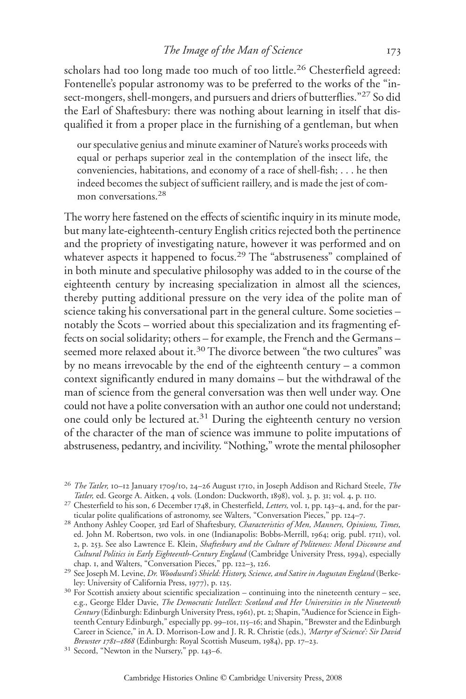scholars had too long made too much of too little.<sup>26</sup> Chesterfield agreed: Fontenelle's popular astronomy was to be preferred to the works of the "insect-mongers, shell-mongers, and pursuers and driers of butterflies."27 So did the Earl of Shaftesbury: there was nothing about learning in itself that disqualified it from a proper place in the furnishing of a gentleman, but when

our speculative genius and minute examiner of Nature's works proceeds with equal or perhaps superior zeal in the contemplation of the insect life, the conveniencies, habitations, and economy of a race of shell-fish; . . . he then indeed becomes the subject of sufficient raillery, and is made the jest of common conversations.<sup>28</sup>

The worry here fastened on the effects of scientific inquiry in its minute mode, but many late-eighteenth-century English critics rejected both the pertinence and the propriety of investigating nature, however it was performed and on whatever aspects it happened to focus.<sup>29</sup> The "abstruseness" complained of in both minute and speculative philosophy was added to in the course of the eighteenth century by increasing specialization in almost all the sciences, thereby putting additional pressure on the very idea of the polite man of science taking his conversational part in the general culture. Some societies – notably the Scots – worried about this specialization and its fragmenting effects on social solidarity; others – for example, the French and the Germans – seemed more relaxed about it.<sup>30</sup> The divorce between "the two cultures" was by no means irrevocable by the end of the eighteenth century – a common context significantly endured in many domains – but the withdrawal of the man of science from the general conversation was then well under way. One could not have a polite conversation with an author one could not understand; one could only be lectured at.<sup>31</sup> During the eighteenth century no version of the character of the man of science was immune to polite imputations of abstruseness, pedantry, and incivility. "Nothing," wrote the mental philosopher

<sup>&</sup>lt;sup>26</sup> *The Tatler*, 10–12 January 1709/10, 24–26 August 1710, in Joseph Addison and Richard Steele, *The Tatler,* ed. George A. Aitken, 4 vols. (London: Duckworth, 1898), vol. 3, p. 31; vol. 4, p. 110.<br><sup>27</sup> Chesterfield to his son, 6 December 1748, in Chesterfield, *Letters*, vol. 1, pp. 143–4, and, for the par-

ticular polite qualifications of astronomy, see Walters, "Conversation Pieces," pp. 124–7.<br><sup>28</sup> Anthony Ashley Cooper, 3rd Earl of Shaftesbury, *Characteristics of Men, Manners, Opinions, Times*,

ed. John M. Robertson, two vols. in one (Indianapolis: Bobbs-Merrill, 1964; orig. publ. 1711), vol. 2, p. 253. See also Lawrence E. Klein, *Shaftesbury and the Culture of Politeness: Moral Discourse and Cultural Politics in Early Eighteenth-Century England* (Cambridge University Press, 1994), especially

chap. 1, and Walters, "Conversation Pieces," pp. 122–3, 126.<br><sup>29</sup> See Joseph M. Levine, *Dr. Woodward's Shield: History, Science, and Satire in Augustan England* (Berke-<br>ley: University of California Press, 1977), p. 125.

 $30$  For Scottish anxiety about scientific specialization – continuing into the nineteenth century – see, e.g., George Elder Davie, *The Democratic Intellect: Scotland and Her Universities in the Nineteenth Century* (Edinburgh: Edinburgh University Press, 1961), pt. 2; Shapin, "Audience for Science in Eighteenth Century Edinburgh," especially pp. 99-101, 115-16; and Shapin, "Brewster and the Edinburgh Career in Science," in A. D. Morrison-Low and J. R. R. Christie (eds.), *'Martyr of Science': Sir David Brewster 1781–1868* (Edinburgh: Royal Scottish Museum, 1984), pp. 17–23.<br><sup>31</sup> Secord, "Newton in the Nursery," pp. 143–6.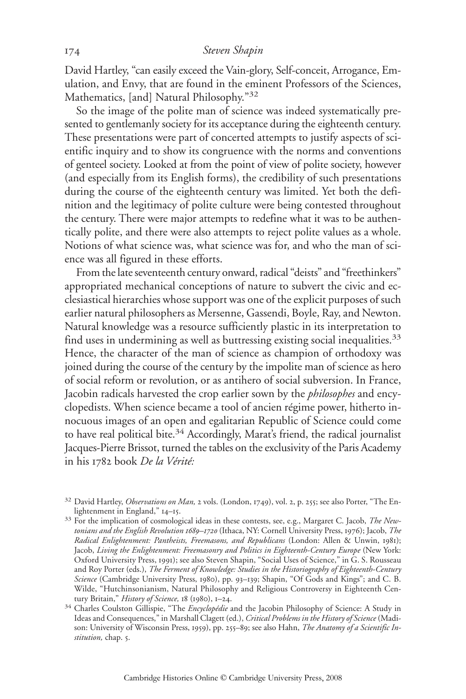David Hartley, "can easily exceed the Vain-glory, Self-conceit, Arrogance, Emulation, and Envy, that are found in the eminent Professors of the Sciences, Mathematics, [and] Natural Philosophy."32

So the image of the polite man of science was indeed systematically presented to gentlemanly society for its acceptance during the eighteenth century. These presentations were part of concerted attempts to justify aspects of scientific inquiry and to show its congruence with the norms and conventions of genteel society. Looked at from the point of view of polite society, however (and especially from its English forms), the credibility of such presentations during the course of the eighteenth century was limited. Yet both the definition and the legitimacy of polite culture were being contested throughout the century. There were major attempts to redefine what it was to be authentically polite, and there were also attempts to reject polite values as a whole. Notions of what science was, what science was for, and who the man of science was all figured in these efforts.

From the late seventeenth century onward, radical "deists" and "freethinkers" appropriated mechanical conceptions of nature to subvert the civic and ecclesiastical hierarchies whose support was one of the explicit purposes of such earlier natural philosophers as Mersenne, Gassendi, Boyle, Ray, and Newton. Natural knowledge was a resource sufficiently plastic in its interpretation to find uses in undermining as well as buttressing existing social inequalities.<sup>33</sup> Hence, the character of the man of science as champion of orthodoxy was joined during the course of the century by the impolite man of science as hero of social reform or revolution, or as antihero of social subversion. In France, Jacobin radicals harvested the crop earlier sown by the *philosophes* and encyclopedists. When science became a tool of ancien régime power, hitherto innocuous images of an open and egalitarian Republic of Science could come to have real political bite.<sup>34</sup> Accordingly, Marat's friend, the radical journalist Jacques-Pierre Brissot, turned the tables on the exclusivity of the Paris Academy in his 1782 book *De la Vérité*:

<sup>&</sup>lt;sup>32</sup> David Hartley, *Observations on Man*, 2 vols. (London, 1749), vol. 2, p. 255; see also Porter, "The En-<br>lightenment in England," 14–15.

<sup>&</sup>lt;sup>33</sup> For the implication of cosmological ideas in these contests, see, e.g., Margaret C. Jacob, *The Newtonians and the English Revolution 1689–1720* (Ithaca, NY: Cornell University Press, 1976); Jacob, *The Radical Enlightenment: Pantheists, Freemasons, and Republicans* (London: Allen & Unwin, 1981); Jacob, *Living the Enlightenment: Freemasonry and Politics in Eighteenth-Century Europe* (New York: Oxford University Press, 1991); see also Steven Shapin, "Social Uses of Science," in G. S. Rousseau and Roy Porter (eds.), *The Ferment of Knowledge: Studies in the Historiography of Eighteenth-Century Science* (Cambridge University Press, 1980), pp. 93-139; Shapin, "Of Gods and Kings"; and C. B. Wilde, "Hutchinsonianism, Natural Philosophy and Religious Controversy in Eighteenth Century Britain," *History of Science*, 18 (1980), 1-24.

<sup>&</sup>lt;sup>34</sup> Charles Coulston Gillispie, "The *Encyclopédie* and the Jacobin Philosophy of Science: A Study in Ideas and Consequences," in Marshall Clagett (ed.), *Critical Problems in the History of Science* (Madison: University of Wisconsin Press, 1959), pp. 255–89; see also Hahn, *The Anatomy of a Scientific In-* $$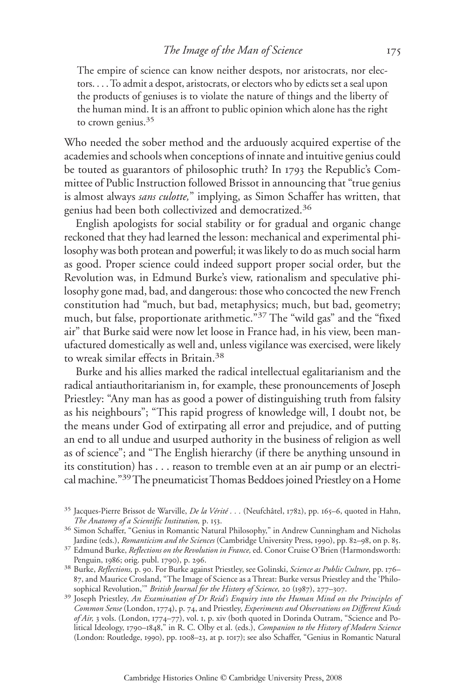The empire of science can know neither despots, nor aristocrats, nor electors. . . . To admit a despot, aristocrats, or electors who by edicts set a seal upon the products of geniuses is to violate the nature of things and the liberty of the human mind. It is an affront to public opinion which alone has the right to crown genius.<sup>35</sup>

Who needed the sober method and the arduously acquired expertise of the academies and schools when conceptions of innate and intuitive genius could be touted as guarantors of philosophic truth? In 1793 the Republic's Committee of Public Instruction followed Brissot in announcing that "true genius is almost always *sans culotte,*" implying, as Simon Schaffer has written, that genius had been both collectivized and democratized.<sup>36</sup>

English apologists for social stability or for gradual and organic change reckoned that they had learned the lesson: mechanical and experimental philosophy was both protean and powerful; it was likely to do as much social harm as good. Proper science could indeed support proper social order, but the Revolution was, in Edmund Burke's view, rationalism and speculative philosophy gone mad, bad, and dangerous: those who concocted the new French constitution had "much, but bad, metaphysics; much, but bad, geometry; much, but false, proportionate arithmetic."37 The "wild gas" and the "fixed air" that Burke said were now let loose in France had, in his view, been manufactured domestically as well and, unless vigilance was exercised, were likely to wreak similar effects in Britain.38

Burke and his allies marked the radical intellectual egalitarianism and the radical antiauthoritarianism in, for example, these pronouncements of Joseph Priestley: "Any man has as good a power of distinguishing truth from falsity as his neighbours"; "This rapid progress of knowledge will, I doubt not, be the means under God of extirpating all error and prejudice, and of putting an end to all undue and usurped authority in the business of religion as well as of science"; and "The English hierarchy (if there be anything unsound in its constitution) has . . . reason to tremble even at an air pump or an electrical machine."39The pneumaticist Thomas Beddoes joined Priestley on a Home

<sup>&</sup>lt;sup>35</sup> Jacques-Pierre Brissot de Warville, *De la Vérité*... (Neufchâtel, 1782), pp. 165–6, quoted in Hahn, *The Anatomy of a Scientific Institution*, p. 153.

<sup>&</sup>lt;sup>36</sup> Simon Schaffer, "Genius in Romantic Natural Philosophy," in Andrew Cunningham and Nicholas<br>Jardine (eds.), *Romanticism and the Sciences* (Cambridge University Press, 1990), pp. 82–98, on p. 85.

<sup>&</sup>lt;sup>37</sup> Edmund Burke, *Reflections on the Revolution in France*, ed. Conor Cruise O'Brien (Harmondsworth: Penguin, 1986; orig. publ. 1790), p. 296.

<sup>&</sup>lt;sup>38</sup> Burke, *Reflections*, p. 90. For Burke against Priestley, see Golinski, *Science as Public Culture*, pp. 176– 87, and Maurice Crosland, "The Image of Science as a Threat: Burke versus Priestley and the 'Philo-<br>sophical Revolution," *British Journal for the History of Science*, 20 (1987), 277–307.

<sup>&</sup>lt;sup>39</sup> Joseph Priestley, An Examination of Dr Reid's Enquiry into the Human Mind on the Principles of *Common Sense* (London, 1774), p. 74, and Priestley, *Experiments and Observations on Different Kinds* of Air, 3 vols. (London, 1774-77), vol. 1, p. xiv (both quoted in Dorinda Outram, "Science and Political Ideology, 1790-1848," in R. C. Olby et al. (eds.), *Companion to the History of Modern Science* (London: Routledge, 1990), pp. 1008-23, at p. 1017); see also Schaffer, "Genius in Romantic Natural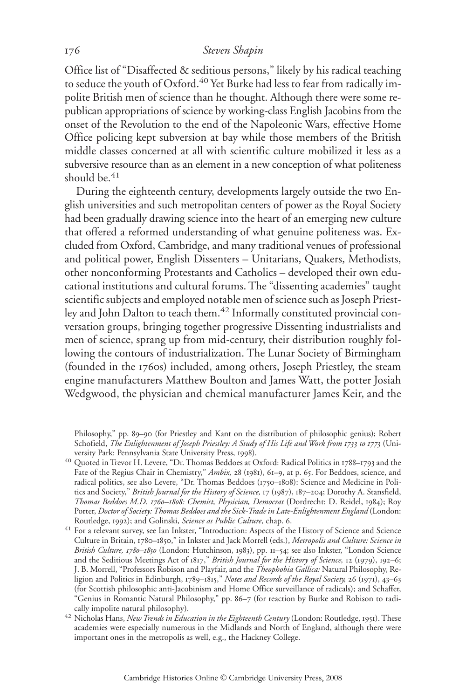Office list of "Disaffected & seditious persons," likely by his radical teaching to seduce the youth of Oxford.<sup>40</sup> Yet Burke had less to fear from radically impolite British men of science than he thought. Although there were some republican appropriations of science by working-class English Jacobins from the onset of the Revolution to the end of the Napoleonic Wars, effective Home Office policing kept subversion at bay while those members of the British middle classes concerned at all with scientific culture mobilized it less as a subversive resource than as an element in a new conception of what politeness should be.<sup>41</sup>

During the eighteenth century, developments largely outside the two English universities and such metropolitan centers of power as the Royal Society had been gradually drawing science into the heart of an emerging new culture that offered a reformed understanding of what genuine politeness was. Excluded from Oxford, Cambridge, and many traditional venues of professional and political power, English Dissenters – Unitarians, Quakers, Methodists, other nonconforming Protestants and Catholics – developed their own educational institutions and cultural forums. The "dissenting academies" taught scientific subjects and employed notable men of science such as Joseph Priestley and John Dalton to teach them.<sup>42</sup> Informally constituted provincial conversation groups, bringing together progressive Dissenting industrialists and men of science, sprang up from mid-century, their distribution roughly following the contours of industrialization. The Lunar Society of Birmingham (founded in the 1760s) included, among others, Joseph Priestley, the steam engine manufacturers Matthew Boulton and James Watt, the potter Josiah Wedgwood, the physician and chemical manufacturer James Keir, and the

Philosophy," pp. 89-90 (for Priestley and Kant on the distribution of philosophic genius); Robert Schofield, *The Enlightenment of Joseph Priestley: A Study of His Life and Work from 1733 to 1773* (University Park: Pennsylvania State University Press, 1998).

<sup>&</sup>lt;sup>40</sup> Quoted in Trevor H. Levere, "Dr. Thomas Beddoes at Oxford: Radical Politics in 1788–1793 and the Fate of the Regius Chair in Chemistry," *Ambix*, 28 (1981), 61–9, at p. 65. For Beddoes, science, and radical politics, see also Levere, "Dr. Thomas Beddoes (1750–1808): Science and Medicine in Politics and Society," *British Journal for the History of Science*, 17 (1987), 187-204; Dorothy A. Stansfield, *Thomas Beddoes M.D. –: Chemist, Physician, Democrat* (Dordrecht: D. Reidel, ); Roy Porter, *Doctor of Society: Thomas Beddoes and the Sick-Trade in Late-Enlightenment England* (London:

<sup>&</sup>lt;sup>41</sup> For a relevant survey, see Ian Inkster, "Introduction: Aspects of the History of Science and Science Culture in Britain, 1780-1850," in Inkster and Jack Morrell (eds.), *Metropolis and Culture: Science in British Culture, 1780-1850* (London: Hutchinson, 1983), pp. 11-54; see also Inkster, "London Science and the Seditious Meetings Act of 1817," *British Journal for the History of Science*, 12 (1979), 192-6; J. B. Morrell, "Professors Robison and Playfair, and the *Theophobia Gallica:* Natural Philosophy, Religion and Politics in Edinburgh, 1789–1815," *Notes and Records of the Royal Society*, 26 (1971), 43–63 (for Scottish philosophic anti-Jacobinism and Home Office surveillance of radicals); and Schaffer, "Genius in Romantic Natural Philosophy," pp. 86–7 (for reaction by Burke and Robison to radi-cally impolite natural philosophy).

<sup>&</sup>lt;sup>42</sup> Nicholas Hans, *New Trends in Education in the Eighteenth Century* (London: Routledge, 1951). These academies were especially numerous in the Midlands and North of England, although there were important ones in the metropolis as well, e.g., the Hackney College.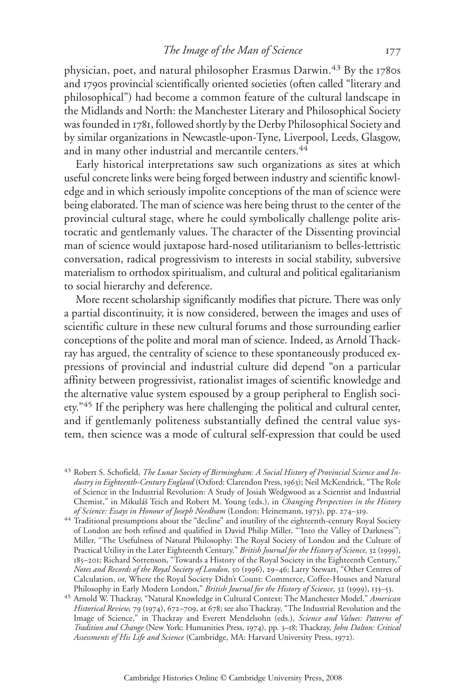physician, poet, and natural philosopher Erasmus Darwin.<sup>43</sup> By the 1780s and 1790s provincial scientifically oriented societies (often called "literary and philosophical") had become a common feature of the cultural landscape in the Midlands and North: the Manchester Literary and Philosophical Society was founded in 1781, followed shortly by the Derby Philosophical Society and by similar organizations in Newcastle-upon-Tyne, Liverpool, Leeds, Glasgow, and in many other industrial and mercantile centers.<sup>44</sup>

Early historical interpretations saw such organizations as sites at which useful concrete links were being forged between industry and scientific knowledge and in which seriously impolite conceptions of the man of science were being elaborated. The man of science was here being thrust to the center of the provincial cultural stage, where he could symbolically challenge polite aristocratic and gentlemanly values. The character of the Dissenting provincial man of science would juxtapose hard-nosed utilitarianism to belles-lettristic conversation, radical progressivism to interests in social stability, subversive materialism to orthodox spiritualism, and cultural and political egalitarianism to social hierarchy and deference.

More recent scholarship significantly modifies that picture. There was only a partial discontinuity, it is now considered, between the images and uses of scientific culture in these new cultural forums and those surrounding earlier conceptions of the polite and moral man of science. Indeed, as Arnold Thackray has argued, the centrality of science to these spontaneously produced expressions of provincial and industrial culture did depend "on a particular affinity between progressivist, rationalist images of scientific knowledge and the alternative value system espoused by a group peripheral to English society."45 If the periphery was here challenging the political and cultural center, and if gentlemanly politeness substantially defined the central value system, then science was a mode of cultural self-expression that could be used

Philosophy in Early Modern London," *British Journal for the History of Science,* (), –. <sup>45</sup> Arnold W. Thackray, "Natural Knowledge in Cultural Context: The Manchester Model," *American* Historical Review, 79 (1974), 672–709, at 678; see also Thackray, "The Industrial Revolution and the Image of Science," in Thackray and Everett Mendelsohn (eds.), *Science and Values: Patterns of Tradition and Change* (New York: Humanities Press, 1974), pp. 3-18; Thackray, *John Dalton: Critical* Assessments of His Life and Science (Cambridge, MA: Harvard University Press, 1972).

<sup>43</sup> Robert S. Schofield, *The Lunar Society of Birmingham: A Social History of Provincial Science and In*dustry in Eighteenth-Century England (Oxford: Clarendon Press, 1963); Neil McKendrick, "The Role of Science in the Industrial Revolution: A Study of Josiah Wedgwood as a Scientist and Industrial Chemist," in Mikuláš Teich and Robert M. Young (eds.), in *Changing Perspectives in the History*

<sup>&</sup>lt;sup>44</sup> Traditional presumptions about the "decline" and inutility of the eighteenth-century Royal Society of London are both refined and qualified in David Philip Miller, "'Into the Valley of Darkness" Miller, "The Usefulness of Natural Philosophy: The Royal Society of London and the Culture of Practical Utility in the Later Eighteenth Century," *British Journal for the History of Science*, 32 (1999), –; Richard Sorrenson, "Towards a History of the Royal Society in the Eighteenth Century," *Notes and Records of the Royal Society of London*, 50 (1996), 29–46; Larry Stewart, "Other Centres of Calculation, or, Where the Royal Society Didn't Count: Commerce, Coffee-Houses and Natural<br>Philosophy in Early Modern London," *British Journal for the History of Science*, 32 (1999), 133–53.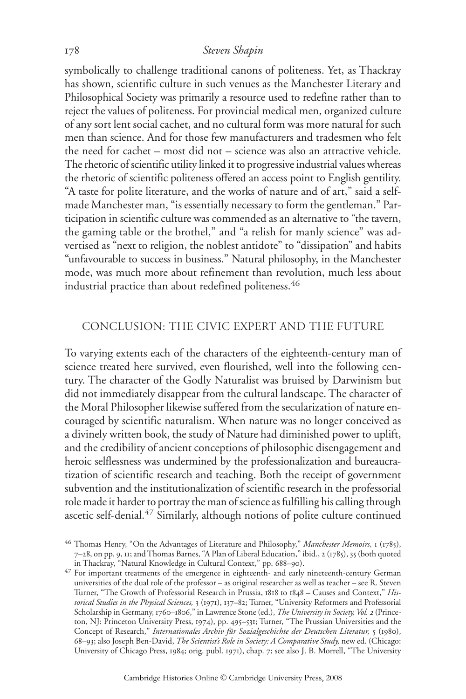symbolically to challenge traditional canons of politeness. Yet, as Thackray has shown, scientific culture in such venues as the Manchester Literary and Philosophical Society was primarily a resource used to redefine rather than to reject the values of politeness. For provincial medical men, organized culture of any sort lent social cachet, and no cultural form was more natural for such men than science. And for those few manufacturers and tradesmen who felt the need for cachet – most did not – science was also an attractive vehicle. The rhetoric of scientific utility linked it to progressive industrial values whereas the rhetoric of scientific politeness offered an access point to English gentility. "A taste for polite literature, and the works of nature and of art," said a selfmade Manchester man, "is essentially necessary to form the gentleman." Participation in scientific culture was commended as an alternative to "the tavern, the gaming table or the brothel," and "a relish for manly science" was advertised as "next to religion, the noblest antidote" to "dissipation" and habits "unfavourable to success in business." Natural philosophy, in the Manchester mode, was much more about refinement than revolution, much less about industrial practice than about redefined politeness.<sup>46</sup>

## CONCLUSION: THE CIVIC EXPERT AND THE FUTURE

To varying extents each of the characters of the eighteenth-century man of science treated here survived, even flourished, well into the following century. The character of the Godly Naturalist was bruised by Darwinism but did not immediately disappear from the cultural landscape. The character of the Moral Philosopher likewise suffered from the secularization of nature encouraged by scientific naturalism. When nature was no longer conceived as a divinely written book, the study of Nature had diminished power to uplift, and the credibility of ancient conceptions of philosophic disengagement and heroic selflessness was undermined by the professionalization and bureaucratization of scientific research and teaching. Both the receipt of government subvention and the institutionalization of scientific research in the professorial role made it harder to portray the man of science as fulfilling his calling through ascetic self-denial.47 Similarly, although notions of polite culture continued

<sup>&</sup>lt;sup>46</sup> Thomas Henry, "On the Advantages of Literature and Philosophy," *Manchester Memoirs*, 1 (1785), 7–28, on pp. 9, 11; and Thomas Barnes, "A Plan of Liberal Education," ibid., 2 (1785), 35 (both quoted in Thackray, "Natural Knowledge in Cultural Context," pp. 688–90).

 $47$  For important treatments of the emergence in eighteenth- and early nineteenth-century German universities of the dual role of the professor – as original researcher as well as teacher – see R. Steven Turner, "The Growth of Professorial Research in Prussia, 1818 to 1848 - Causes and Context," *His*torical Studies in the Physical Sciences, 3 (1971), 137-82; Turner, "University Reformers and Professorial Scholarship in Germany, 1760–1806," in Lawrence Stone (ed.), *The University in Society, Vol. 2* (Princeton, NJ: Princeton University Press, 1974), pp. 495-531; Turner, "The Prussian Universities and the Concept of Research," *Internationales Archiv für Sozialgeschichte der Deutschen Literatur*, 5 (1980), –; also Joseph Ben-David, *The Scientist's Role in Society: A Comparative Study,* new ed. (Chicago: University of Chicago Press, 1984; orig. publ. 1971), chap. 7; see also J. B. Morrell, "The University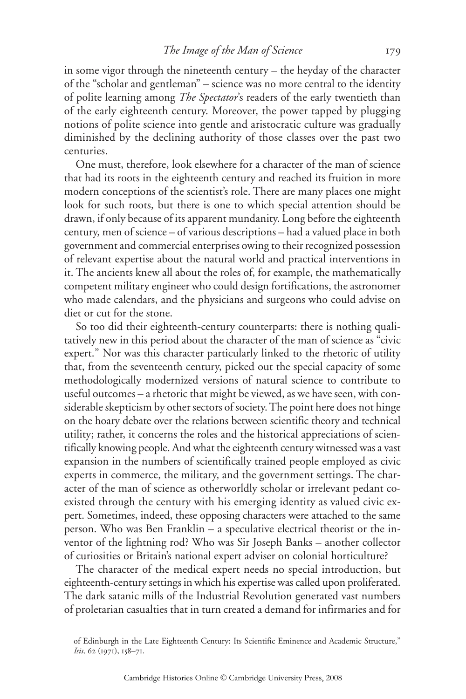in some vigor through the nineteenth century – the heyday of the character of the "scholar and gentleman" – science was no more central to the identity of polite learning among *The Spectator*'s readers of the early twentieth than of the early eighteenth century. Moreover, the power tapped by plugging notions of polite science into gentle and aristocratic culture was gradually diminished by the declining authority of those classes over the past two centuries.

One must, therefore, look elsewhere for a character of the man of science that had its roots in the eighteenth century and reached its fruition in more modern conceptions of the scientist's role. There are many places one might look for such roots, but there is one to which special attention should be drawn, if only because of its apparent mundanity. Long before the eighteenth century, men of science – of various descriptions – had a valued place in both government and commercial enterprises owing to their recognized possession of relevant expertise about the natural world and practical interventions in it. The ancients knew all about the roles of, for example, the mathematically competent military engineer who could design fortifications, the astronomer who made calendars, and the physicians and surgeons who could advise on diet or cut for the stone.

So too did their eighteenth-century counterparts: there is nothing qualitatively new in this period about the character of the man of science as "civic expert." Nor was this character particularly linked to the rhetoric of utility that, from the seventeenth century, picked out the special capacity of some methodologically modernized versions of natural science to contribute to useful outcomes – a rhetoric that might be viewed, as we have seen, with considerable skepticism by other sectors of society. The point here does not hinge on the hoary debate over the relations between scientific theory and technical utility; rather, it concerns the roles and the historical appreciations of scientifically knowing people. And what the eighteenth century witnessed was a vast expansion in the numbers of scientifically trained people employed as civic experts in commerce, the military, and the government settings. The character of the man of science as otherworldly scholar or irrelevant pedant coexisted through the century with his emerging identity as valued civic expert. Sometimes, indeed, these opposing characters were attached to the same person. Who was Ben Franklin – a speculative electrical theorist or the inventor of the lightning rod? Who was Sir Joseph Banks – another collector of curiosities or Britain's national expert adviser on colonial horticulture?

The character of the medical expert needs no special introduction, but eighteenth-century settings in which his expertise was called upon proliferated. The dark satanic mills of the Industrial Revolution generated vast numbers of proletarian casualties that in turn created a demand for infirmaries and for

of Edinburgh in the Late Eighteenth Century: Its Scientific Eminence and Academic Structure," *Isis*, 62 (1971), 158-71.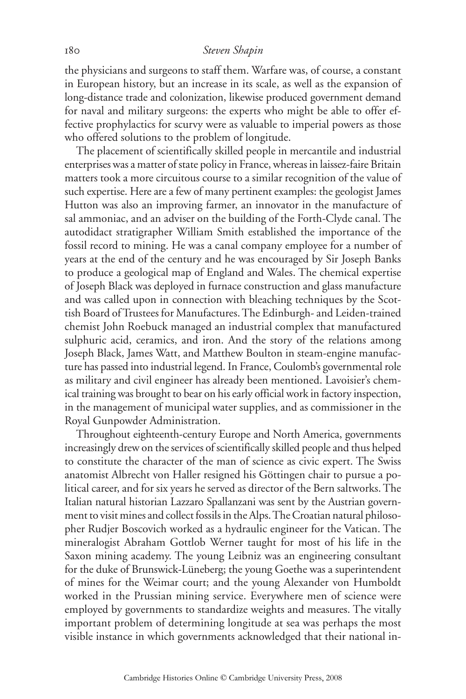the physicians and surgeons to staff them. Warfare was, of course, a constant in European history, but an increase in its scale, as well as the expansion of long-distance trade and colonization, likewise produced government demand for naval and military surgeons: the experts who might be able to offer effective prophylactics for scurvy were as valuable to imperial powers as those who offered solutions to the problem of longitude.

The placement of scientifically skilled people in mercantile and industrial enterprises was a matter of state policy in France, whereas in laissez-faire Britain matters took a more circuitous course to a similar recognition of the value of such expertise. Here are a few of many pertinent examples: the geologist James Hutton was also an improving farmer, an innovator in the manufacture of sal ammoniac, and an adviser on the building of the Forth-Clyde canal. The autodidact stratigrapher William Smith established the importance of the fossil record to mining. He was a canal company employee for a number of years at the end of the century and he was encouraged by Sir Joseph Banks to produce a geological map of England and Wales. The chemical expertise of Joseph Black was deployed in furnace construction and glass manufacture and was called upon in connection with bleaching techniques by the Scottish Board of Trustees for Manufactures. The Edinburgh- and Leiden-trained chemist John Roebuck managed an industrial complex that manufactured sulphuric acid, ceramics, and iron. And the story of the relations among Joseph Black, James Watt, and Matthew Boulton in steam-engine manufacture has passed into industrial legend. In France, Coulomb's governmental role as military and civil engineer has already been mentioned. Lavoisier's chemical training was brought to bear on his early official work in factory inspection, in the management of municipal water supplies, and as commissioner in the Royal Gunpowder Administration.

Throughout eighteenth-century Europe and North America, governments increasingly drew on the services of scientifically skilled people and thus helped to constitute the character of the man of science as civic expert. The Swiss anatomist Albrecht von Haller resigned his Göttingen chair to pursue a political career, and for six years he served as director of the Bern saltworks. The Italian natural historian Lazzaro Spallanzani was sent by the Austrian government to visit mines and collect fossils in the Alps. The Croatian natural philosopher Rudjer Boscovich worked as a hydraulic engineer for the Vatican. The mineralogist Abraham Gottlob Werner taught for most of his life in the Saxon mining academy. The young Leibniz was an engineering consultant for the duke of Brunswick-Lüneberg; the young Goethe was a superintendent of mines for the Weimar court; and the young Alexander von Humboldt worked in the Prussian mining service. Everywhere men of science were employed by governments to standardize weights and measures. The vitally important problem of determining longitude at sea was perhaps the most visible instance in which governments acknowledged that their national in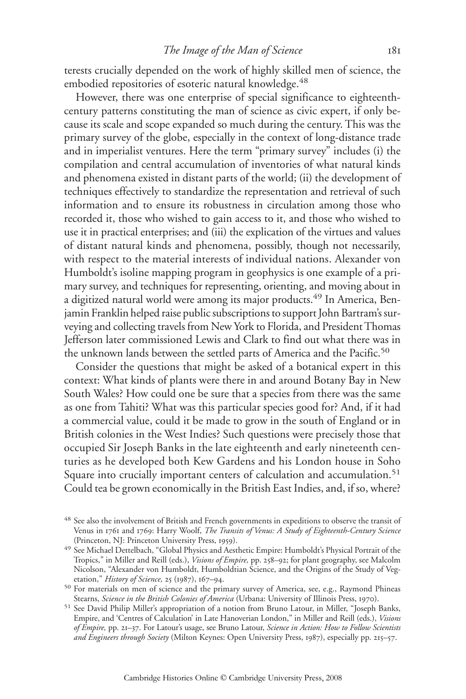terests crucially depended on the work of highly skilled men of science, the embodied repositories of esoteric natural knowledge.<sup>48</sup>

However, there was one enterprise of special significance to eighteenthcentury patterns constituting the man of science as civic expert, if only because its scale and scope expanded so much during the century. This was the primary survey of the globe, especially in the context of long-distance trade and in imperialist ventures. Here the term "primary survey" includes (i) the compilation and central accumulation of inventories of what natural kinds and phenomena existed in distant parts of the world; (ii) the development of techniques effectively to standardize the representation and retrieval of such information and to ensure its robustness in circulation among those who recorded it, those who wished to gain access to it, and those who wished to use it in practical enterprises; and (iii) the explication of the virtues and values of distant natural kinds and phenomena, possibly, though not necessarily, with respect to the material interests of individual nations. Alexander von Humboldt's isoline mapping program in geophysics is one example of a primary survey, and techniques for representing, orienting, and moving about in a digitized natural world were among its major products.<sup>49</sup> In America, Benjamin Franklin helped raise public subscriptions to support John Bartram's surveying and collecting travels from New York to Florida, and President Thomas Jefferson later commissioned Lewis and Clark to find out what there was in the unknown lands between the settled parts of America and the Pacific.<sup>50</sup>

Consider the questions that might be asked of a botanical expert in this context: What kinds of plants were there in and around Botany Bay in New South Wales? How could one be sure that a species from there was the same as one from Tahiti? What was this particular species good for? And, if it had a commercial value, could it be made to grow in the south of England or in British colonies in the West Indies? Such questions were precisely those that occupied Sir Joseph Banks in the late eighteenth and early nineteenth centuries as he developed both Kew Gardens and his London house in Soho Square into crucially important centers of calculation and accumulation.<sup>51</sup> Could tea be grown economically in the British East Indies, and, if so, where?

<sup>48</sup> See also the involvement of British and French governments in expeditions to observe the transit of Venus in 1761 and 1769: Harry Woolf, *The Transits of Venus: A Study of Eighteenth-Century Science*<br>(Princeton, NJ: Princeton University Press, 1959).

<sup>&</sup>lt;sup>49</sup> See Michael Dettelbach, "Global Physics and Aesthetic Empire: Humboldt's Physical Portrait of the Tropics," in Miller and Reill (eds.), *Visions of Empire*, pp. 258–92; for plant geography, see Malcolm Nicolson, "Alexander von Humboldt, Humboldtian Science, and the Origins of the Study of Veg-<br>etation," *History of Science*, 25 (1987), 167–94.

<sup>&</sup>lt;sup>50</sup> For materials on men of science and the primary survey of America, see, e.g., Raymond Phineas Stearns, *Science in the British Colonies of America* (Urbana: University of Illinois Press, 1970).

<sup>&</sup>lt;sup>51</sup> See David Philip Miller's appropriation of a notion from Bruno Latour, in Miller, "Joseph Banks, Empire, and 'Centres of Calculation' in Late Hanoverian London," in Miller and Reill (eds.), *Visions of Empire, pp. 21-37. For Latour's usage, see Bruno Latour, Science in Action: How to Follow Scientists and Engineers through Society* (Milton Keynes: Open University Press, 1987), especially pp. 215–57.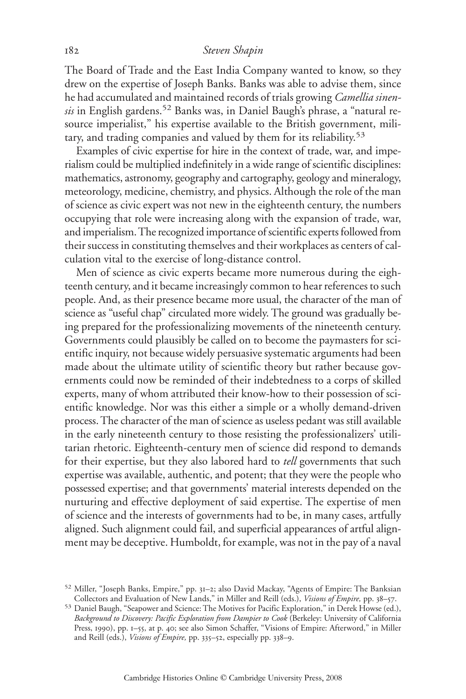The Board of Trade and the East India Company wanted to know, so they drew on the expertise of Joseph Banks. Banks was able to advise them, since he had accumulated and maintained records of trials growing *Camellia sinensis* in English gardens.<sup>52</sup> Banks was, in Daniel Baugh's phrase, a "natural resource imperialist," his expertise available to the British government, military, and trading companies and valued by them for its reliability.<sup>53</sup>

Examples of civic expertise for hire in the context of trade, war, and imperialism could be multiplied indefinitely in a wide range of scientific disciplines: mathematics, astronomy, geography and cartography, geology and mineralogy, meteorology, medicine, chemistry, and physics. Although the role of the man of science as civic expert was not new in the eighteenth century, the numbers occupying that role were increasing along with the expansion of trade, war, and imperialism. The recognized importance of scientific experts followed from their success in constituting themselves and their workplaces as centers of calculation vital to the exercise of long-distance control.

Men of science as civic experts became more numerous during the eighteenth century, and it became increasingly common to hear references to such people. And, as their presence became more usual, the character of the man of science as "useful chap" circulated more widely. The ground was gradually being prepared for the professionalizing movements of the nineteenth century. Governments could plausibly be called on to become the paymasters for scientific inquiry, not because widely persuasive systematic arguments had been made about the ultimate utility of scientific theory but rather because governments could now be reminded of their indebtedness to a corps of skilled experts, many of whom attributed their know-how to their possession of scientific knowledge. Nor was this either a simple or a wholly demand-driven process. The character of the man of science as useless pedant was still available in the early nineteenth century to those resisting the professionalizers' utilitarian rhetoric. Eighteenth-century men of science did respond to demands for their expertise, but they also labored hard to *tell* governments that such expertise was available, authentic, and potent; that they were the people who possessed expertise; and that governments' material interests depended on the nurturing and effective deployment of said expertise. The expertise of men of science and the interests of governments had to be, in many cases, artfully aligned. Such alignment could fail, and superficial appearances of artful alignment may be deceptive. Humboldt, for example, was not in the pay of a naval

<sup>&</sup>lt;sup>52</sup> Miller, "Joseph Banks, Empire," pp. 31–2; also David Mackay, "Agents of Empire: The Banksian Collectors and Evaluation of New Lands," in Miller and Reill (eds.), *Visions of Empire*, pp. 38–57.

<sup>&</sup>lt;sup>53</sup> Daniel Baugh, "Seapower and Science: The Motives for Pacific Exploration," in Derek Howse (ed.), *Background to Discovery: Pacific Exploration from Dampier to Cook* (Berkeley: University of California Press, 1990), pp. 1-55, at p. 40; see also Simon Schaffer, "Visions of Empire: Afterword," in Miller and Reill (eds.), *Visions of Empire*, pp. 335–52, especially pp. 338–9.